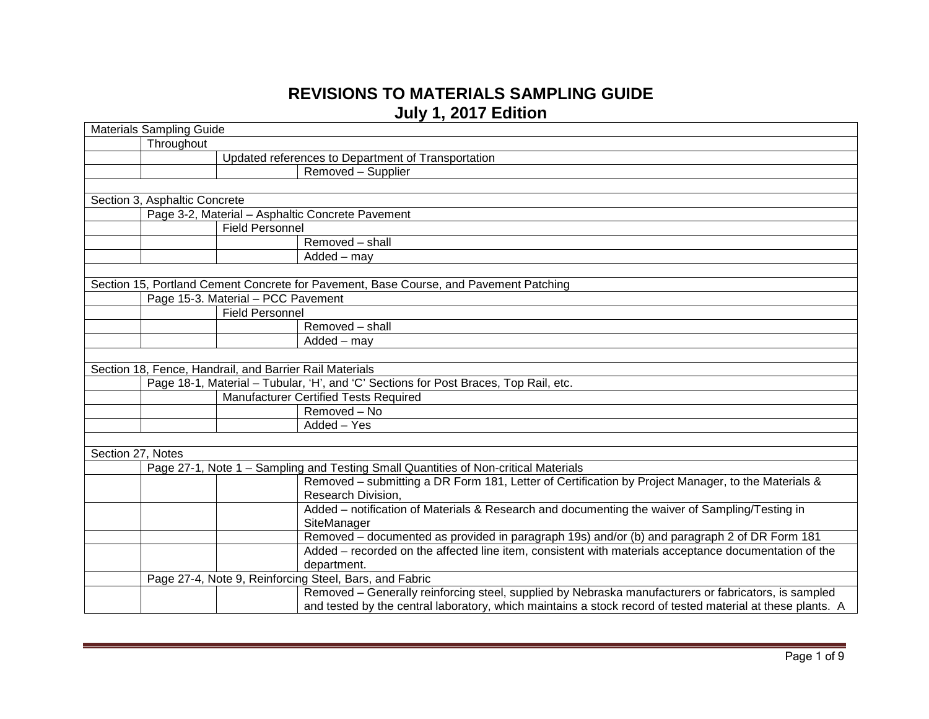## **REVISIONS TO MATERIALS SAMPLING GUIDE July 1, 2017 Edition**

| <b>Materials Sampling Guide</b> |                               |                                                         |                                                                                                            |
|---------------------------------|-------------------------------|---------------------------------------------------------|------------------------------------------------------------------------------------------------------------|
|                                 | Throughout                    |                                                         |                                                                                                            |
|                                 |                               |                                                         | Updated references to Department of Transportation                                                         |
|                                 |                               |                                                         | Removed - Supplier                                                                                         |
|                                 |                               |                                                         |                                                                                                            |
|                                 | Section 3, Asphaltic Concrete |                                                         |                                                                                                            |
|                                 |                               |                                                         | Page 3-2, Material - Asphaltic Concrete Pavement                                                           |
|                                 |                               | <b>Field Personnel</b>                                  |                                                                                                            |
|                                 |                               |                                                         | Removed - shall                                                                                            |
|                                 |                               |                                                         | Added - may                                                                                                |
|                                 |                               |                                                         |                                                                                                            |
|                                 |                               |                                                         | Section 15, Portland Cement Concrete for Pavement, Base Course, and Pavement Patching                      |
|                                 |                               | Page 15-3. Material - PCC Pavement                      |                                                                                                            |
|                                 |                               | <b>Field Personnel</b>                                  |                                                                                                            |
|                                 |                               |                                                         | Removed - shall                                                                                            |
|                                 |                               |                                                         | Added - may                                                                                                |
|                                 |                               |                                                         |                                                                                                            |
|                                 |                               | Section 18, Fence, Handrail, and Barrier Rail Materials |                                                                                                            |
|                                 |                               |                                                         | Page 18-1, Material - Tubular, 'H', and 'C' Sections for Post Braces, Top Rail, etc.                       |
|                                 |                               |                                                         | Manufacturer Certified Tests Required                                                                      |
|                                 |                               |                                                         | Removed - No                                                                                               |
|                                 |                               |                                                         | Added - Yes                                                                                                |
|                                 |                               |                                                         |                                                                                                            |
| Section 27, Notes               |                               |                                                         |                                                                                                            |
|                                 |                               |                                                         | Page 27-1, Note 1 - Sampling and Testing Small Quantities of Non-critical Materials                        |
|                                 |                               |                                                         | Removed – submitting a DR Form 181, Letter of Certification by Project Manager, to the Materials &         |
|                                 |                               |                                                         | Research Division,                                                                                         |
|                                 |                               |                                                         | Added - notification of Materials & Research and documenting the waiver of Sampling/Testing in             |
|                                 |                               |                                                         | SiteManager                                                                                                |
|                                 |                               |                                                         | Removed – documented as provided in paragraph 19s) and/or (b) and paragraph 2 of DR Form 181               |
|                                 |                               |                                                         | Added - recorded on the affected line item, consistent with materials acceptance documentation of the      |
|                                 |                               |                                                         | department.                                                                                                |
|                                 |                               |                                                         | Page 27-4, Note 9, Reinforcing Steel, Bars, and Fabric                                                     |
|                                 |                               |                                                         | Removed - Generally reinforcing steel, supplied by Nebraska manufacturers or fabricators, is sampled       |
|                                 |                               |                                                         | and tested by the central laboratory, which maintains a stock record of tested material at these plants. A |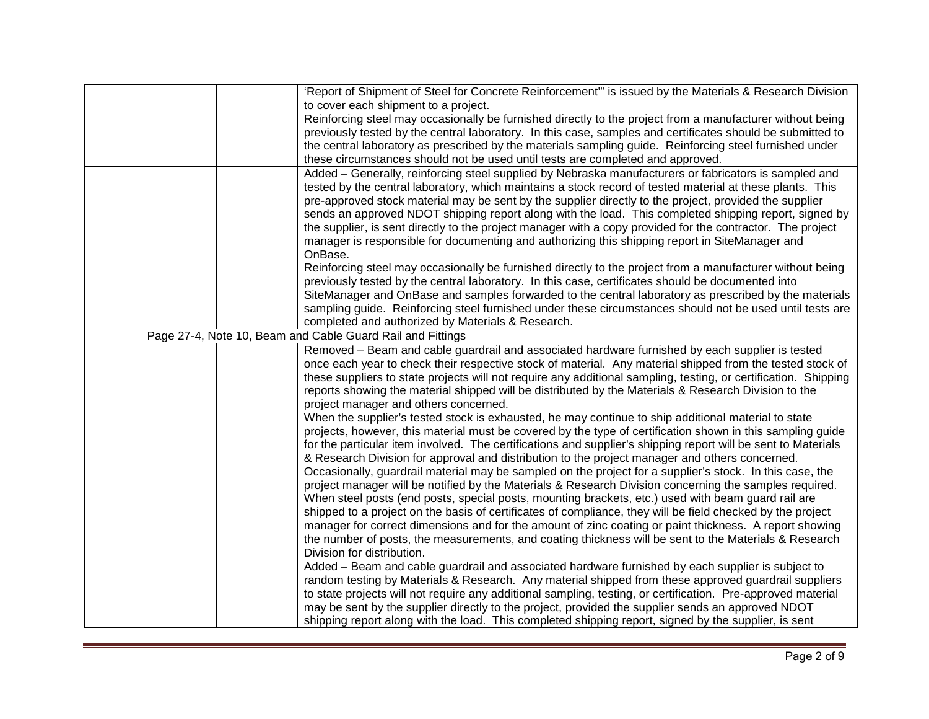|  | 'Report of Shipment of Steel for Concrete Reinforcement" is issued by the Materials & Research Division         |
|--|-----------------------------------------------------------------------------------------------------------------|
|  | to cover each shipment to a project.                                                                            |
|  | Reinforcing steel may occasionally be furnished directly to the project from a manufacturer without being       |
|  | previously tested by the central laboratory. In this case, samples and certificates should be submitted to      |
|  | the central laboratory as prescribed by the materials sampling guide. Reinforcing steel furnished under         |
|  | these circumstances should not be used until tests are completed and approved.                                  |
|  | Added – Generally, reinforcing steel supplied by Nebraska manufacturers or fabricators is sampled and           |
|  | tested by the central laboratory, which maintains a stock record of tested material at these plants. This       |
|  | pre-approved stock material may be sent by the supplier directly to the project, provided the supplier          |
|  | sends an approved NDOT shipping report along with the load. This completed shipping report, signed by           |
|  | the supplier, is sent directly to the project manager with a copy provided for the contractor. The project      |
|  | manager is responsible for documenting and authorizing this shipping report in SiteManager and                  |
|  | OnBase.                                                                                                         |
|  | Reinforcing steel may occasionally be furnished directly to the project from a manufacturer without being       |
|  | previously tested by the central laboratory. In this case, certificates should be documented into               |
|  | SiteManager and OnBase and samples forwarded to the central laboratory as prescribed by the materials           |
|  | sampling guide. Reinforcing steel furnished under these circumstances should not be used until tests are        |
|  | completed and authorized by Materials & Research.                                                               |
|  | Page 27-4, Note 10, Beam and Cable Guard Rail and Fittings                                                      |
|  | Removed - Beam and cable guardrail and associated hardware furnished by each supplier is tested                 |
|  | once each year to check their respective stock of material. Any material shipped from the tested stock of       |
|  | these suppliers to state projects will not require any additional sampling, testing, or certification. Shipping |
|  | reports showing the material shipped will be distributed by the Materials & Research Division to the            |
|  | project manager and others concerned.                                                                           |
|  | When the supplier's tested stock is exhausted, he may continue to ship additional material to state             |
|  | projects, however, this material must be covered by the type of certification shown in this sampling guide      |
|  | for the particular item involved. The certifications and supplier's shipping report will be sent to Materials   |
|  | & Research Division for approval and distribution to the project manager and others concerned.                  |
|  | Occasionally, guardrail material may be sampled on the project for a supplier's stock. In this case, the        |
|  | project manager will be notified by the Materials & Research Division concerning the samples required.          |
|  | When steel posts (end posts, special posts, mounting brackets, etc.) used with beam guard rail are              |
|  | shipped to a project on the basis of certificates of compliance, they will be field checked by the project      |
|  | manager for correct dimensions and for the amount of zinc coating or paint thickness. A report showing          |
|  | the number of posts, the measurements, and coating thickness will be sent to the Materials & Research           |
|  | Division for distribution.                                                                                      |
|  | Added - Beam and cable guardrail and associated hardware furnished by each supplier is subject to               |
|  | random testing by Materials & Research. Any material shipped from these approved guardrail suppliers            |
|  | to state projects will not require any additional sampling, testing, or certification. Pre-approved material    |
|  | may be sent by the supplier directly to the project, provided the supplier sends an approved NDOT               |
|  | shipping report along with the load. This completed shipping report, signed by the supplier, is sent            |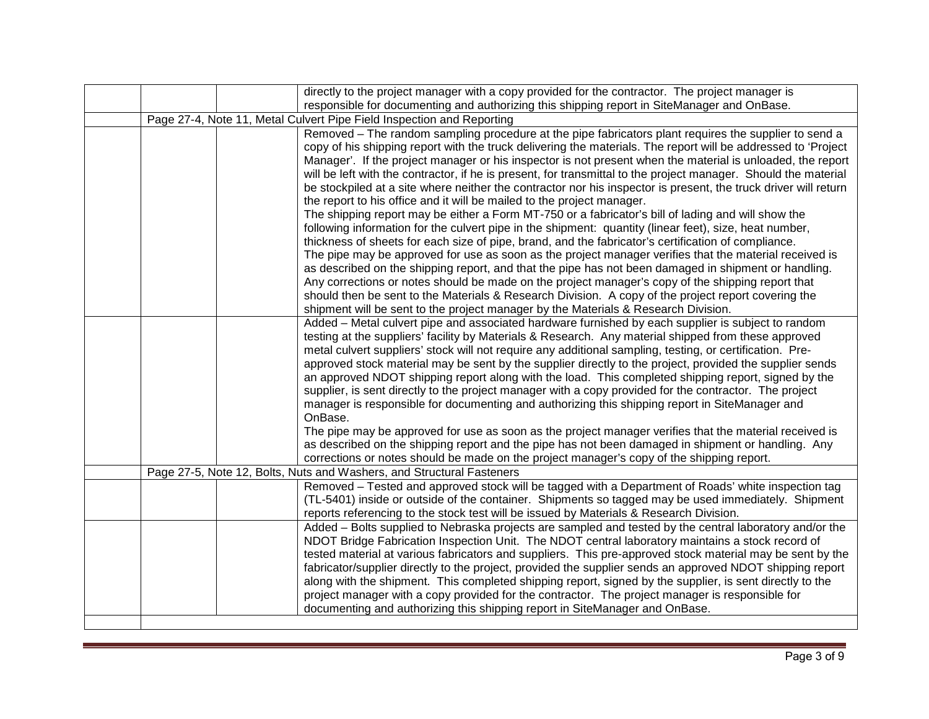|  | directly to the project manager with a copy provided for the contractor. The project manager is                 |
|--|-----------------------------------------------------------------------------------------------------------------|
|  | responsible for documenting and authorizing this shipping report in SiteManager and OnBase.                     |
|  | Page 27-4, Note 11, Metal Culvert Pipe Field Inspection and Reporting                                           |
|  | Removed - The random sampling procedure at the pipe fabricators plant requires the supplier to send a           |
|  | copy of his shipping report with the truck delivering the materials. The report will be addressed to 'Project   |
|  | Manager'. If the project manager or his inspector is not present when the material is unloaded, the report      |
|  | will be left with the contractor, if he is present, for transmittal to the project manager. Should the material |
|  | be stockpiled at a site where neither the contractor nor his inspector is present, the truck driver will return |
|  | the report to his office and it will be mailed to the project manager.                                          |
|  | The shipping report may be either a Form MT-750 or a fabricator's bill of lading and will show the              |
|  |                                                                                                                 |
|  | following information for the culvert pipe in the shipment: quantity (linear feet), size, heat number,          |
|  | thickness of sheets for each size of pipe, brand, and the fabricator's certification of compliance.             |
|  | The pipe may be approved for use as soon as the project manager verifies that the material received is          |
|  | as described on the shipping report, and that the pipe has not been damaged in shipment or handling.            |
|  | Any corrections or notes should be made on the project manager's copy of the shipping report that               |
|  | should then be sent to the Materials & Research Division. A copy of the project report covering the             |
|  | shipment will be sent to the project manager by the Materials & Research Division.                              |
|  | Added - Metal culvert pipe and associated hardware furnished by each supplier is subject to random              |
|  | testing at the suppliers' facility by Materials & Research. Any material shipped from these approved            |
|  | metal culvert suppliers' stock will not require any additional sampling, testing, or certification. Pre-        |
|  | approved stock material may be sent by the supplier directly to the project, provided the supplier sends        |
|  | an approved NDOT shipping report along with the load. This completed shipping report, signed by the             |
|  | supplier, is sent directly to the project manager with a copy provided for the contractor. The project          |
|  | manager is responsible for documenting and authorizing this shipping report in SiteManager and                  |
|  | OnBase.                                                                                                         |
|  | The pipe may be approved for use as soon as the project manager verifies that the material received is          |
|  | as described on the shipping report and the pipe has not been damaged in shipment or handling. Any              |
|  | corrections or notes should be made on the project manager's copy of the shipping report.                       |
|  | Page 27-5, Note 12, Bolts, Nuts and Washers, and Structural Fasteners                                           |
|  | Removed - Tested and approved stock will be tagged with a Department of Roads' white inspection tag             |
|  | (TL-5401) inside or outside of the container. Shipments so tagged may be used immediately. Shipment             |
|  | reports referencing to the stock test will be issued by Materials & Research Division.                          |
|  | Added - Bolts supplied to Nebraska projects are sampled and tested by the central laboratory and/or the         |
|  | NDOT Bridge Fabrication Inspection Unit. The NDOT central laboratory maintains a stock record of                |
|  | tested material at various fabricators and suppliers. This pre-approved stock material may be sent by the       |
|  | fabricator/supplier directly to the project, provided the supplier sends an approved NDOT shipping report       |
|  | along with the shipment. This completed shipping report, signed by the supplier, is sent directly to the        |
|  | project manager with a copy provided for the contractor. The project manager is responsible for                 |
|  | documenting and authorizing this shipping report in SiteManager and OnBase.                                     |
|  |                                                                                                                 |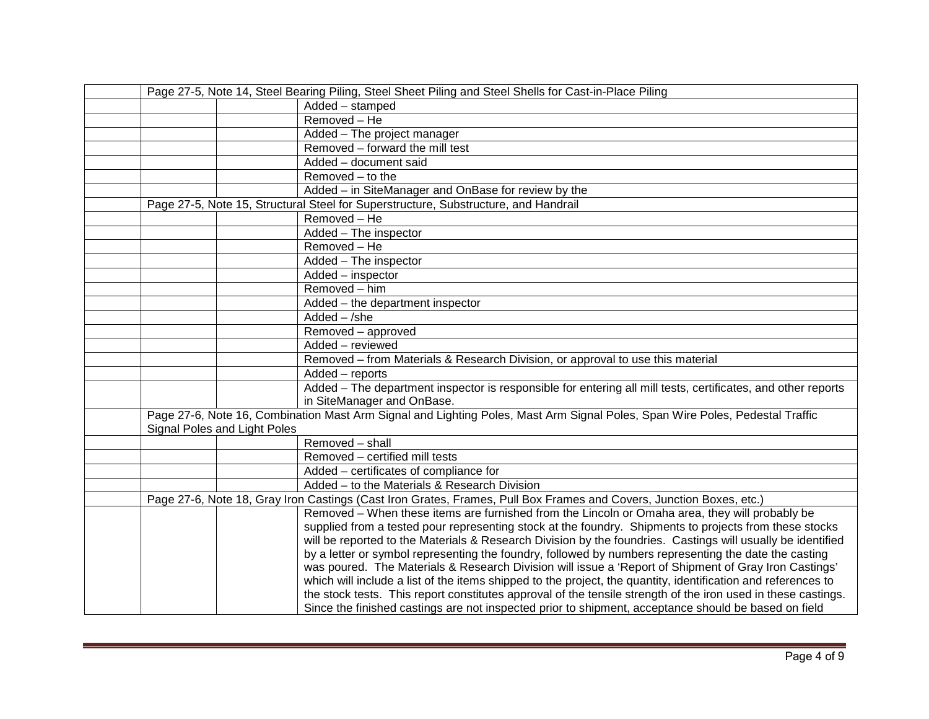| Page 27-5, Note 14, Steel Bearing Piling, Steel Sheet Piling and Steel Shells for Cast-in-Place Piling                                                       |                                                                                                                     |  |
|--------------------------------------------------------------------------------------------------------------------------------------------------------------|---------------------------------------------------------------------------------------------------------------------|--|
|                                                                                                                                                              | Added - stamped                                                                                                     |  |
|                                                                                                                                                              | Removed - He                                                                                                        |  |
|                                                                                                                                                              | Added - The project manager                                                                                         |  |
|                                                                                                                                                              | Removed - forward the mill test                                                                                     |  |
|                                                                                                                                                              | Added - document said                                                                                               |  |
|                                                                                                                                                              | Removed - to the                                                                                                    |  |
|                                                                                                                                                              | Added - in SiteManager and OnBase for review by the                                                                 |  |
|                                                                                                                                                              | Page 27-5, Note 15, Structural Steel for Superstructure, Substructure, and Handrail                                 |  |
|                                                                                                                                                              | Removed - He                                                                                                        |  |
|                                                                                                                                                              | Added - The inspector                                                                                               |  |
|                                                                                                                                                              | Removed - He                                                                                                        |  |
|                                                                                                                                                              | Added - The inspector                                                                                               |  |
|                                                                                                                                                              | Added - inspector                                                                                                   |  |
|                                                                                                                                                              | Removed - him                                                                                                       |  |
|                                                                                                                                                              | Added - the department inspector                                                                                    |  |
|                                                                                                                                                              | $Added - /she$                                                                                                      |  |
|                                                                                                                                                              | Removed - approved                                                                                                  |  |
|                                                                                                                                                              | Added - reviewed                                                                                                    |  |
|                                                                                                                                                              | Removed - from Materials & Research Division, or approval to use this material                                      |  |
|                                                                                                                                                              | Added - reports                                                                                                     |  |
|                                                                                                                                                              | Added - The department inspector is responsible for entering all mill tests, certificates, and other reports        |  |
|                                                                                                                                                              | in SiteManager and OnBase.                                                                                          |  |
| Page 27-6, Note 16, Combination Mast Arm Signal and Lighting Poles, Mast Arm Signal Poles, Span Wire Poles, Pedestal Traffic<br>Signal Poles and Light Poles |                                                                                                                     |  |
|                                                                                                                                                              | Removed - shall                                                                                                     |  |
|                                                                                                                                                              | Removed - certified mill tests                                                                                      |  |
|                                                                                                                                                              | Added - certificates of compliance for                                                                              |  |
|                                                                                                                                                              | Added - to the Materials & Research Division                                                                        |  |
|                                                                                                                                                              | Page 27-6, Note 18, Gray Iron Castings (Cast Iron Grates, Frames, Pull Box Frames and Covers, Junction Boxes, etc.) |  |
|                                                                                                                                                              | Removed – When these items are furnished from the Lincoln or Omaha area, they will probably be                      |  |
|                                                                                                                                                              | supplied from a tested pour representing stock at the foundry. Shipments to projects from these stocks              |  |
|                                                                                                                                                              | will be reported to the Materials & Research Division by the foundries. Castings will usually be identified         |  |
|                                                                                                                                                              | by a letter or symbol representing the foundry, followed by numbers representing the date the casting               |  |
|                                                                                                                                                              | was poured. The Materials & Research Division will issue a 'Report of Shipment of Gray Iron Castings'               |  |
|                                                                                                                                                              | which will include a list of the items shipped to the project, the quantity, identification and references to       |  |
|                                                                                                                                                              | the stock tests. This report constitutes approval of the tensile strength of the iron used in these castings.       |  |
|                                                                                                                                                              | Since the finished castings are not inspected prior to shipment, acceptance should be based on field                |  |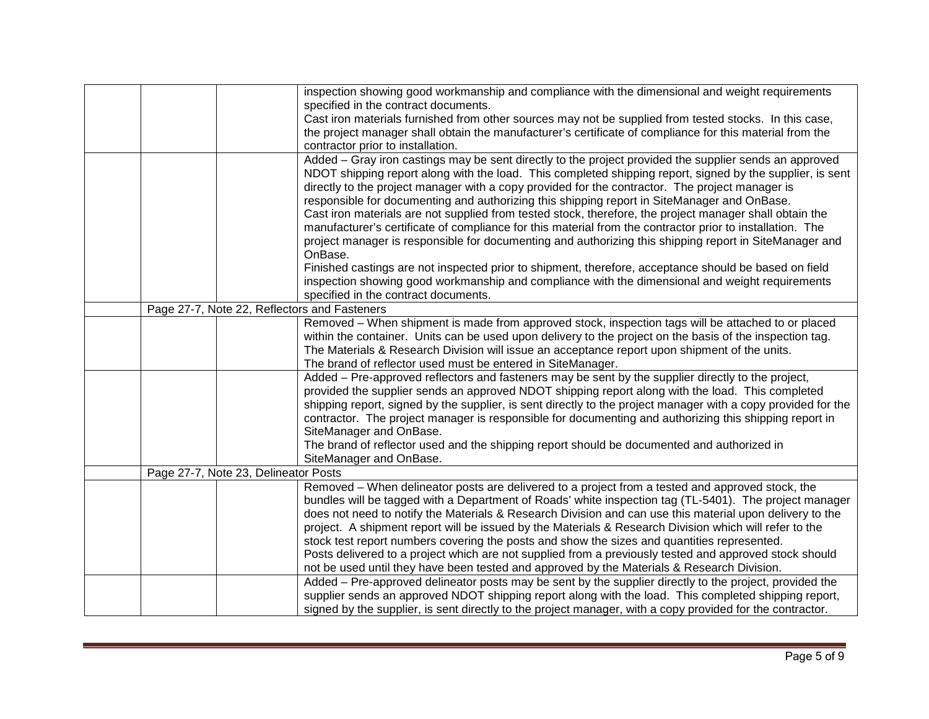|                                              | inspection showing good workmanship and compliance with the dimensional and weight requirements               |
|----------------------------------------------|---------------------------------------------------------------------------------------------------------------|
|                                              |                                                                                                               |
|                                              | specified in the contract documents.                                                                          |
|                                              | Cast iron materials furnished from other sources may not be supplied from tested stocks. In this case,        |
|                                              | the project manager shall obtain the manufacturer's certificate of compliance for this material from the      |
|                                              | contractor prior to installation.                                                                             |
|                                              | Added - Gray iron castings may be sent directly to the project provided the supplier sends an approved        |
|                                              | NDOT shipping report along with the load. This completed shipping report, signed by the supplier, is sent     |
|                                              | directly to the project manager with a copy provided for the contractor. The project manager is               |
|                                              | responsible for documenting and authorizing this shipping report in SiteManager and OnBase.                   |
|                                              | Cast iron materials are not supplied from tested stock, therefore, the project manager shall obtain the       |
|                                              | manufacturer's certificate of compliance for this material from the contractor prior to installation. The     |
|                                              | project manager is responsible for documenting and authorizing this shipping report in SiteManager and        |
|                                              | OnBase.                                                                                                       |
|                                              | Finished castings are not inspected prior to shipment, therefore, acceptance should be based on field         |
|                                              | inspection showing good workmanship and compliance with the dimensional and weight requirements               |
|                                              | specified in the contract documents.                                                                          |
| Page 27-7, Note 22, Reflectors and Fasteners |                                                                                                               |
|                                              | Removed - When shipment is made from approved stock, inspection tags will be attached to or placed            |
|                                              | within the container. Units can be used upon delivery to the project on the basis of the inspection tag.      |
|                                              | The Materials & Research Division will issue an acceptance report upon shipment of the units.                 |
|                                              | The brand of reflector used must be entered in SiteManager.                                                   |
|                                              | Added – Pre-approved reflectors and fasteners may be sent by the supplier directly to the project,            |
|                                              | provided the supplier sends an approved NDOT shipping report along with the load. This completed              |
|                                              | shipping report, signed by the supplier, is sent directly to the project manager with a copy provided for the |
|                                              | contractor. The project manager is responsible for documenting and authorizing this shipping report in        |
|                                              | SiteManager and OnBase.                                                                                       |
|                                              | The brand of reflector used and the shipping report should be documented and authorized in                    |
|                                              | SiteManager and OnBase.                                                                                       |
| Page 27-7, Note 23, Delineator Posts         |                                                                                                               |
|                                              | Removed – When delineator posts are delivered to a project from a tested and approved stock, the              |
|                                              | bundles will be tagged with a Department of Roads' white inspection tag (TL-5401). The project manager        |
|                                              | does not need to notify the Materials & Research Division and can use this material upon delivery to the      |
|                                              | project. A shipment report will be issued by the Materials & Research Division which will refer to the        |
|                                              | stock test report numbers covering the posts and show the sizes and quantities represented.                   |
|                                              | Posts delivered to a project which are not supplied from a previously tested and approved stock should        |
|                                              | not be used until they have been tested and approved by the Materials & Research Division.                    |
|                                              | Added - Pre-approved delineator posts may be sent by the supplier directly to the project, provided the       |
|                                              | supplier sends an approved NDOT shipping report along with the load. This completed shipping report,          |
|                                              | signed by the supplier, is sent directly to the project manager, with a copy provided for the contractor.     |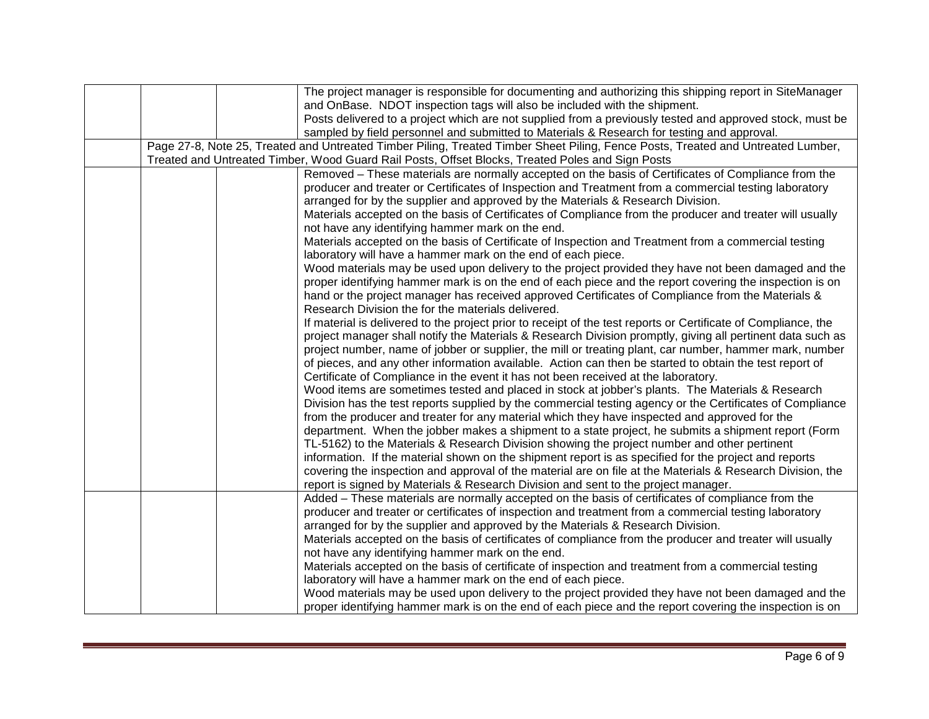|  | The project manager is responsible for documenting and authorizing this shipping report in SiteManager                           |
|--|----------------------------------------------------------------------------------------------------------------------------------|
|  | and OnBase. NDOT inspection tags will also be included with the shipment.                                                        |
|  | Posts delivered to a project which are not supplied from a previously tested and approved stock, must be                         |
|  | sampled by field personnel and submitted to Materials & Research for testing and approval.                                       |
|  | Page 27-8, Note 25, Treated and Untreated Timber Piling, Treated Timber Sheet Piling, Fence Posts, Treated and Untreated Lumber, |
|  | Treated and Untreated Timber, Wood Guard Rail Posts, Offset Blocks, Treated Poles and Sign Posts                                 |
|  | Removed – These materials are normally accepted on the basis of Certificates of Compliance from the                              |
|  | producer and treater or Certificates of Inspection and Treatment from a commercial testing laboratory                            |
|  | arranged for by the supplier and approved by the Materials & Research Division.                                                  |
|  | Materials accepted on the basis of Certificates of Compliance from the producer and treater will usually                         |
|  | not have any identifying hammer mark on the end.                                                                                 |
|  | Materials accepted on the basis of Certificate of Inspection and Treatment from a commercial testing                             |
|  | laboratory will have a hammer mark on the end of each piece.                                                                     |
|  | Wood materials may be used upon delivery to the project provided they have not been damaged and the                              |
|  | proper identifying hammer mark is on the end of each piece and the report covering the inspection is on                          |
|  | hand or the project manager has received approved Certificates of Compliance from the Materials &                                |
|  | Research Division the for the materials delivered.                                                                               |
|  | If material is delivered to the project prior to receipt of the test reports or Certificate of Compliance, the                   |
|  | project manager shall notify the Materials & Research Division promptly, giving all pertinent data such as                       |
|  | project number, name of jobber or supplier, the mill or treating plant, car number, hammer mark, number                          |
|  | of pieces, and any other information available. Action can then be started to obtain the test report of                          |
|  | Certificate of Compliance in the event it has not been received at the laboratory.                                               |
|  | Wood items are sometimes tested and placed in stock at jobber's plants. The Materials & Research                                 |
|  | Division has the test reports supplied by the commercial testing agency or the Certificates of Compliance                        |
|  | from the producer and treater for any material which they have inspected and approved for the                                    |
|  | department. When the jobber makes a shipment to a state project, he submits a shipment report (Form                              |
|  | TL-5162) to the Materials & Research Division showing the project number and other pertinent                                     |
|  | information. If the material shown on the shipment report is as specified for the project and reports                            |
|  | covering the inspection and approval of the material are on file at the Materials & Research Division, the                       |
|  | report is signed by Materials & Research Division and sent to the project manager.                                               |
|  | Added - These materials are normally accepted on the basis of certificates of compliance from the                                |
|  | producer and treater or certificates of inspection and treatment from a commercial testing laboratory                            |
|  | arranged for by the supplier and approved by the Materials & Research Division.                                                  |
|  | Materials accepted on the basis of certificates of compliance from the producer and treater will usually                         |
|  | not have any identifying hammer mark on the end.                                                                                 |
|  | Materials accepted on the basis of certificate of inspection and treatment from a commercial testing                             |
|  | laboratory will have a hammer mark on the end of each piece.                                                                     |
|  | Wood materials may be used upon delivery to the project provided they have not been damaged and the                              |
|  | proper identifying hammer mark is on the end of each piece and the report covering the inspection is on                          |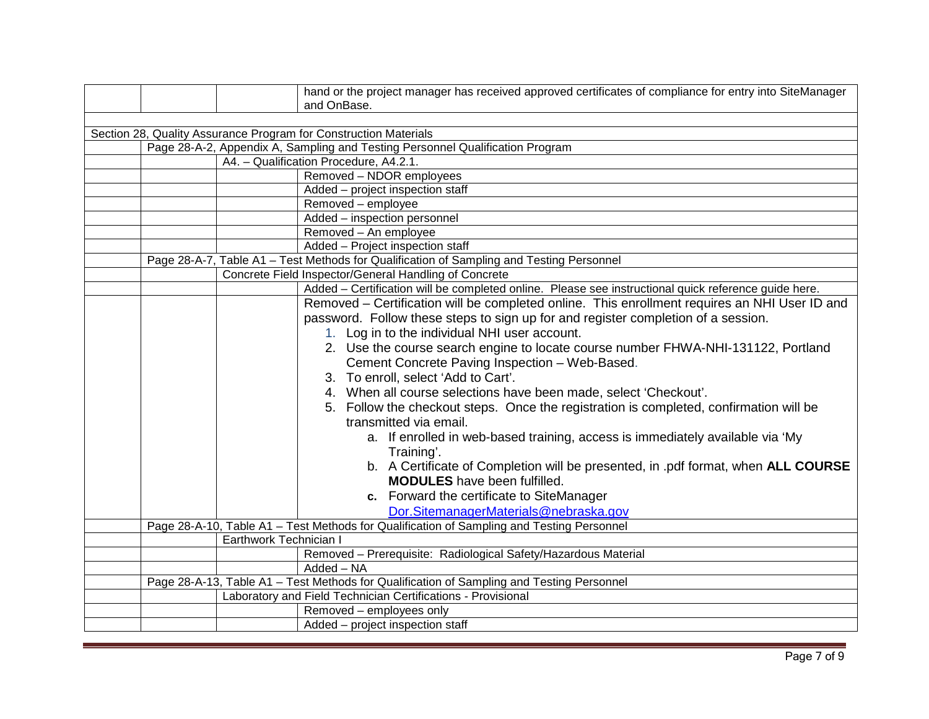|  |                        | hand or the project manager has received approved certificates of compliance for entry into SiteManager<br>and OnBase. |
|--|------------------------|------------------------------------------------------------------------------------------------------------------------|
|  |                        |                                                                                                                        |
|  |                        | Section 28, Quality Assurance Program for Construction Materials                                                       |
|  |                        | Page 28-A-2, Appendix A, Sampling and Testing Personnel Qualification Program                                          |
|  |                        | A4. - Qualification Procedure, A4.2.1.                                                                                 |
|  |                        | Removed - NDOR employees                                                                                               |
|  |                        | Added - project inspection staff                                                                                       |
|  |                        | Removed - employee                                                                                                     |
|  |                        | Added - inspection personnel                                                                                           |
|  |                        | Removed - An employee                                                                                                  |
|  |                        | Added - Project inspection staff                                                                                       |
|  |                        | Page 28-A-7, Table A1 - Test Methods for Qualification of Sampling and Testing Personnel                               |
|  |                        | Concrete Field Inspector/General Handling of Concrete                                                                  |
|  |                        | Added - Certification will be completed online. Please see instructional quick reference guide here.                   |
|  |                        | Removed - Certification will be completed online. This enrollment requires an NHI User ID and                          |
|  |                        | password. Follow these steps to sign up for and register completion of a session.                                      |
|  |                        | 1. Log in to the individual NHI user account.                                                                          |
|  |                        | 2. Use the course search engine to locate course number FHWA-NHI-131122, Portland                                      |
|  |                        | Cement Concrete Paving Inspection - Web-Based.                                                                         |
|  |                        | 3. To enroll, select 'Add to Cart'.                                                                                    |
|  |                        | 4. When all course selections have been made, select 'Checkout'.                                                       |
|  |                        | 5. Follow the checkout steps. Once the registration is completed, confirmation will be                                 |
|  |                        | transmitted via email.                                                                                                 |
|  |                        | a. If enrolled in web-based training, access is immediately available via 'My                                          |
|  |                        | Training'.                                                                                                             |
|  |                        | b. A Certificate of Completion will be presented, in .pdf format, when ALL COURSE                                      |
|  |                        | <b>MODULES</b> have been fulfilled.                                                                                    |
|  |                        | c. Forward the certificate to SiteManager                                                                              |
|  |                        | Dor.SitemanagerMaterials@nebraska.gov                                                                                  |
|  |                        | Page 28-A-10, Table A1 - Test Methods for Qualification of Sampling and Testing Personnel                              |
|  | Earthwork Technician I |                                                                                                                        |
|  |                        | Removed - Prerequisite: Radiological Safety/Hazardous Material                                                         |
|  |                        | Added - NA                                                                                                             |
|  |                        | Page 28-A-13, Table A1 - Test Methods for Qualification of Sampling and Testing Personnel                              |
|  |                        | Laboratory and Field Technician Certifications - Provisional                                                           |
|  |                        | Removed - employees only                                                                                               |
|  |                        | Added - project inspection staff                                                                                       |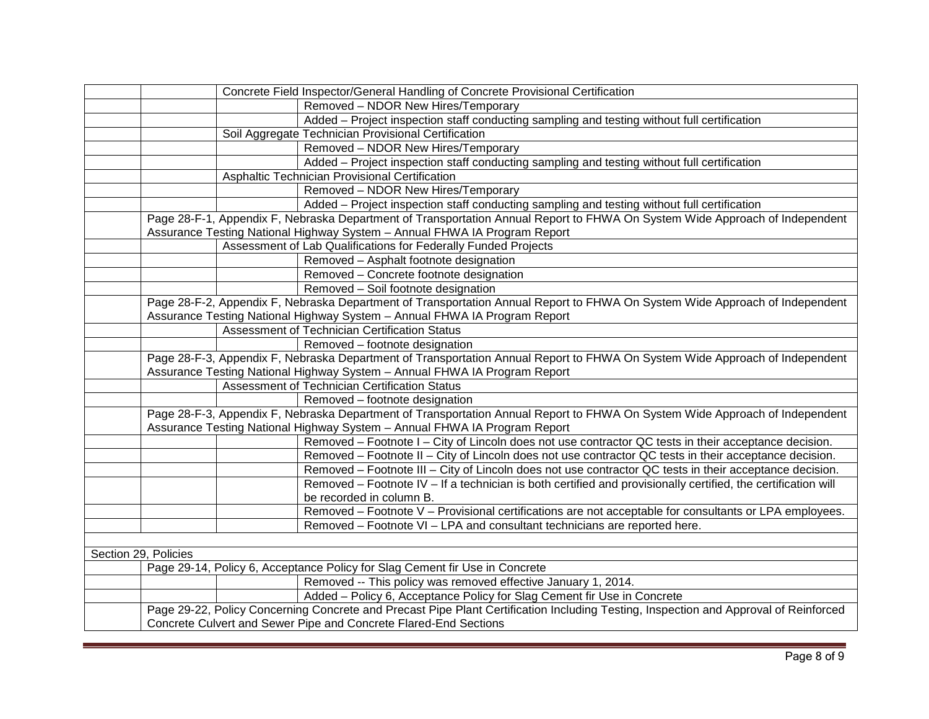| Concrete Field Inspector/General Handling of Concrete Provisional Certification                                                      |
|--------------------------------------------------------------------------------------------------------------------------------------|
| Removed - NDOR New Hires/Temporary                                                                                                   |
| Added - Project inspection staff conducting sampling and testing without full certification                                          |
| Soil Aggregate Technician Provisional Certification                                                                                  |
| Removed - NDOR New Hires/Temporary                                                                                                   |
| Added - Project inspection staff conducting sampling and testing without full certification                                          |
| Asphaltic Technician Provisional Certification                                                                                       |
| Removed - NDOR New Hires/Temporary                                                                                                   |
| Added - Project inspection staff conducting sampling and testing without full certification                                          |
| Page 28-F-1, Appendix F, Nebraska Department of Transportation Annual Report to FHWA On System Wide Approach of Independent          |
| Assurance Testing National Highway System - Annual FHWA IA Program Report                                                            |
| Assessment of Lab Qualifications for Federally Funded Projects                                                                       |
| Removed - Asphalt footnote designation                                                                                               |
| Removed - Concrete footnote designation                                                                                              |
| Removed - Soil footnote designation                                                                                                  |
| Page 28-F-2, Appendix F, Nebraska Department of Transportation Annual Report to FHWA On System Wide Approach of Independent          |
| Assurance Testing National Highway System - Annual FHWA IA Program Report                                                            |
| Assessment of Technician Certification Status                                                                                        |
| Removed - footnote designation                                                                                                       |
| Page 28-F-3, Appendix F, Nebraska Department of Transportation Annual Report to FHWA On System Wide Approach of Independent          |
| Assurance Testing National Highway System - Annual FHWA IA Program Report                                                            |
| Assessment of Technician Certification Status                                                                                        |
| Removed - footnote designation                                                                                                       |
| Page 28-F-3, Appendix F, Nebraska Department of Transportation Annual Report to FHWA On System Wide Approach of Independent          |
| Assurance Testing National Highway System - Annual FHWA IA Program Report                                                            |
| Removed - Footnote I - City of Lincoln does not use contractor QC tests in their acceptance decision.                                |
| Removed - Footnote II - City of Lincoln does not use contractor QC tests in their acceptance decision.                               |
| Removed – Footnote III – City of Lincoln does not use contractor QC tests in their acceptance decision.                              |
| Removed – Footnote IV – If a technician is both certified and provisionally certified, the certification will                        |
| be recorded in column B.                                                                                                             |
| Removed - Footnote V - Provisional certifications are not acceptable for consultants or LPA employees.                               |
| Removed - Footnote VI - LPA and consultant technicians are reported here.                                                            |
|                                                                                                                                      |
| Section 29, Policies                                                                                                                 |
| Page 29-14, Policy 6, Acceptance Policy for Slag Cement fir Use in Concrete                                                          |
| Removed -- This policy was removed effective January 1, 2014.                                                                        |
| Added - Policy 6, Acceptance Policy for Slag Cement fir Use in Concrete                                                              |
| Page 29-22, Policy Concerning Concrete and Precast Pipe Plant Certification Including Testing, Inspection and Approval of Reinforced |
| Concrete Culvert and Sewer Pipe and Concrete Flared-End Sections                                                                     |